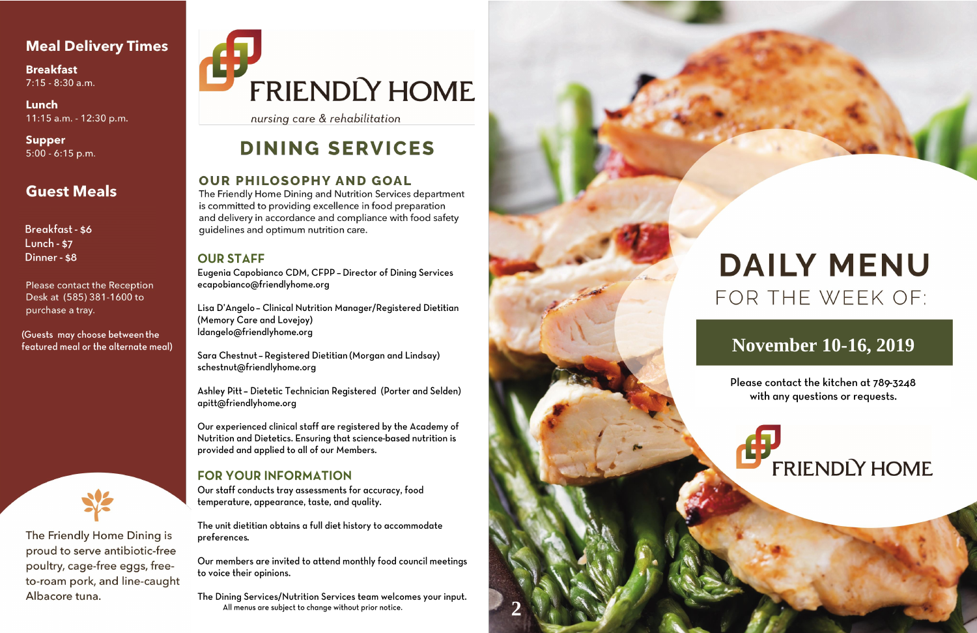## **Meal Delivery Times**

**Breakfast**  $7:15 - 8:30$  a.m.

Lunch 11:15 a.m. - 12:30 p.m.

**Supper**  $5:00 - 6:15$  p.m.

# **Guest Meals**

Breakfast - \$6 **Lunch - \$7** Dinner - \$8

Please contact the Reception Desk at (585) 381-1600 to purchase a tray.

(Guests may choose between the featured meal or the alternate meal)



The Friendly Home Dining is proud to serve antibiotic-free poultry, cage-free eggs, freeto-roam pork, and line-caught Albacore tuna.

# FRIENDLY HOME

nursing care & rehabilitation

# **DINING SERVICES**

### **OUR PHILOSOPHY AND GOAL**

The Friendly Home Dining and Nutrition Services department is committed to providing excellence in food preparation and delivery in accordance and compliance with food safety quidelines and optimum nutrition care.

### **OUR STAFF**

Eugenia Capobianco CDM, CFPP - Director of Dining Services ecapobianco@friendlyhome.org

Lisa D'Angelo - Clinical Nutrition Manager/Registered Dietitian (Memory Care and Lovejoy) ldangelo@friendlyhome.org

Sara Chestnut - Registered Dietitian (Morgan and Lindsay) schestnut@friendlyhome.org

Ashley Pitt - Dietetic Technician Registered (Porter and Selden) apitt@friendlyhome.org

Our experienced clinical staff are registered by the Academy of Nutrition and Dietetics. Ensuring that science-based nutrition is provided and applied to all of our Members.

### **FOR YOUR INFORMATION**

Our staff conducts tray assessments for accuracy, food temperature, appearance, taste, and quality.

The unit dietitian obtains a full diet history to accommodate preferences.

Our members are invited to attend monthly food council meetings to voice their opinions.

The Dining Services/Nutrition Services team welcomes your input. All menus are subject to change without prior notice.



# **DAILY MENU** FOR THE WEEK OF:

# **November 10-16, 2019**

Please contact the kitchen at 789-3248 with any questions or requests.